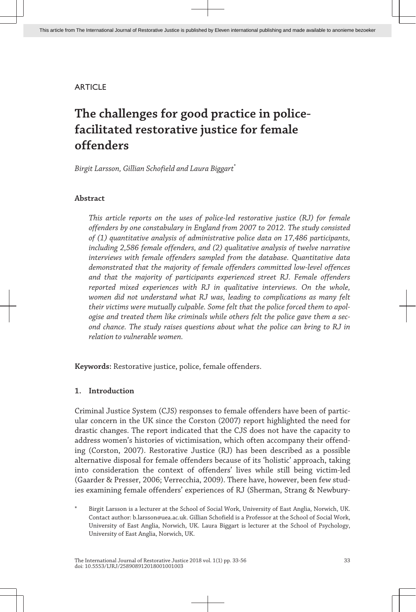# **ARTICLE**

# **The challenges for good practice in policefacilitated restorative justice for female offenders**

*Birgit Larsson, Gillian Schofield and Laura Biggart*\*

# **Abstract**

*This article reports on the uses of police-led restorative justice (RJ) for female offenders by one constabulary in England from 2007 to 2012. The study consisted of (1) quantitative analysis of administrative police data on 17,486 participants, including 2,586 female offenders, and (2) qualitative analysis of twelve narrative interviews with female offenders sampled from the database. Quantitative data demonstrated that the majority of female offenders committed low-level offences and that the majority of participants experienced street RJ. Female offenders reported mixed experiences with RJ in qualitative interviews. On the whole, women did not understand what RJ was, leading to complications as many felt their victims were mutually culpable. Some felt that the police forced them to apol‐ ogise and treated them like criminals while others felt the police gave them a sec‐ ond chance. The study raises questions about what the police can bring to RJ in relation to vulnerable women.*

**Keywords:** Restorative justice, police, female offenders.

# **1. Introduction**

Criminal Justice System (CJS) responses to female offenders have been of partic‐ ular concern in the UK since the Corston (2007) report highlighted the need for drastic changes. The report indicated that the CJS does not have the capacity to address women's histories of victimisation, which often accompany their offend‐ ing (Corston, 2007). Restorative Justice (RJ) has been described as a possible alternative disposal for female offenders because of its 'holistic' approach, taking into consideration the context of offenders' lives while still being victim-led (Gaarder & Presser, 2006; Verrecchia, 2009). There have, however, been few stud‐ ies examining female offenders' experiences of RJ (Sherman, Strang & Newbury-

Birgit Larsson is a lecturer at the School of Social Work, University of East Anglia, Norwich, UK. Contact author: b.larsson@uea.ac.uk. Gillian Schofield is a Professor at the School of Social Work, University of East Anglia, Norwich, UK. Laura Biggart is lecturer at the School of Psychology, University of East Anglia, Norwich, UK.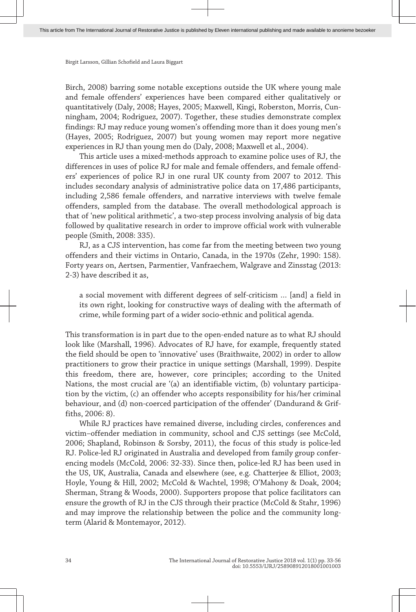Birch, 2008) barring some notable exceptions outside the UK where young male and female offenders' experiences have been compared either qualitatively or quantitatively (Daly, 2008; Hayes, 2005; Maxwell, Kingi, Roberston, Morris, Cun‐ ningham, 2004; Rodriguez, 2007). Together, these studies demonstrate complex findings: RJ may reduce young women's offending more than it does young men's (Hayes, 2005; Rodriguez, 2007) but young women may report more negative experiences in RJ than young men do (Daly, 2008; Maxwell et al., 2004).

This article uses a mixed-methods approach to examine police uses of RJ, the differences in uses of police RJ for male and female offenders, and female offend‐ ers' experiences of police RJ in one rural UK county from 2007 to 2012. This includes secondary analysis of administrative police data on 17,486 participants, including 2,586 female offenders, and narrative interviews with twelve female offenders, sampled from the database. The overall methodological approach is that of 'new political arithmetic', a two-step process involving analysis of big data followed by qualitative research in order to improve official work with vulnerable people (Smith, 2008: 335).

RJ, as a CJS intervention, has come far from the meeting between two young offenders and their victims in Ontario, Canada, in the 1970s (Zehr, 1990: 158). Forty years on, Aertsen, Parmentier, Vanfraechem, Walgrave and Zinsstag (2013: 2-3) have described it as,

a social movement with different degrees of self-criticism … [and] a field in its own right, looking for constructive ways of dealing with the aftermath of crime, while forming part of a wider socio-ethnic and political agenda.

This transformation is in part due to the open-ended nature as to what RJ should look like (Marshall, 1996). Advocates of RJ have, for example, frequently stated the field should be open to 'innovative' uses (Braithwaite, 2002) in order to allow practitioners to grow their practice in unique settings (Marshall, 1999). Despite this freedom, there are, however, core principles; according to the United Nations, the most crucial are '(a) an identifiable victim, (b) voluntary participa‐ tion by the victim, (c) an offender who accepts responsibility for his/her criminal behaviour, and (d) non-coerced participation of the offender' (Dandurand & Griffiths, 2006: 8).

While RJ practices have remained diverse, including circles, conferences and victim–offender mediation in community, school and CJS settings (see McCold, 2006; Shapland, Robinson & Sorsby, 2011), the focus of this study is police-led RJ. Police-led RJ originated in Australia and developed from family group confer‐ encing models (McCold, 2006: 32-33). Since then, police-led RJ has been used in the US, UK, Australia, Canada and elsewhere (see, e.g. Chatterjee & Elliot, 2003; Hoyle, Young & Hill, 2002; McCold & Wachtel, 1998; O'Mahony & Doak, 2004; Sherman, Strang & Woods, 2000). Supporters propose that police facilitators can ensure the growth of RJ in the CJS through their practice (McCold & Stahr, 1996) and may improve the relationship between the police and the community longterm (Alarid & Montemayor, 2012).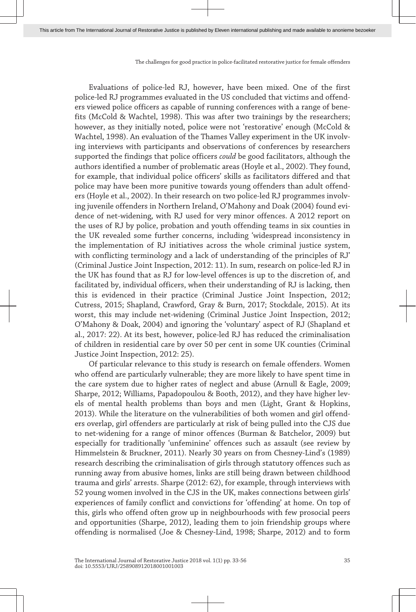Evaluations of police-led RJ, however, have been mixed. One of the first police-led RJ programmes evaluated in the US concluded that victims and offend‐ ers viewed police officers as capable of running conferences with a range of bene‐ fits (McCold & Wachtel, 1998). This was after two trainings by the researchers; however, as they initially noted, police were not 'restorative' enough (McCold & Wachtel, 1998). An evaluation of the Thames Valley experiment in the UK involving interviews with participants and observations of conferences by researchers supported the findings that police officers *could* be good facilitators, although the authors identified a number of problematic areas (Hoyle et al., 2002). They found, for example, that individual police officers' skills as facilitators differed and that police may have been more punitive towards young offenders than adult offend‐ ers (Hoyle et al., 2002). In their research on two police-led RJ programmes involv‐ ing juvenile offenders in Northern Ireland, O'Mahony and Doak (2004) found evidence of net-widening, with RJ used for very minor offences. A 2012 report on the uses of RJ by police, probation and youth offending teams in six counties in the UK revealed some further concerns, including 'widespread inconsistency in the implementation of RJ initiatives across the whole criminal justice system, with conflicting terminology and a lack of understanding of the principles of RJ' (Criminal Justice Joint Inspection, 2012: 11). In sum, research on police-led RJ in the UK has found that as RJ for low-level offences is up to the discretion of, and facilitated by, individual officers, when their understanding of RJ is lacking, then this is evidenced in their practice (Criminal Justice Joint Inspection, 2012; Cutress, 2015; Shapland, Crawford, Gray & Burn, 2017; Stockdale, 2015). At its worst, this may include net-widening (Criminal Justice Joint Inspection, 2012; O'Mahony & Doak, 2004) and ignoring the 'voluntary' aspect of RJ (Shapland et al., 2017: 22). At its best, however, police-led RJ has reduced the criminalisation of children in residential care by over 50 per cent in some UK counties (Criminal Justice Joint Inspection, 2012: 25).

Of particular relevance to this study is research on female offenders. Women who offend are particularly vulnerable; they are more likely to have spent time in the care system due to higher rates of neglect and abuse (Arnull & Eagle, 2009; Sharpe, 2012; Williams, Papadopoulou & Booth, 2012), and they have higher lev‐ els of mental health problems than boys and men (Light, Grant & Hopkins, 2013). While the literature on the vulnerabilities of both women and girl offend‐ ers overlap, girl offenders are particularly at risk of being pulled into the CJS due to net-widening for a range of minor offences (Burman & Batchelor, 2009) but especially for traditionally 'unfeminine' offences such as assault (see review by Himmelstein & Bruckner, 2011). Nearly 30 years on from Chesney-Lind's (1989) research describing the criminalisation of girls through statutory offences such as running away from abusive homes, links are still being drawn between childhood trauma and girls' arrests. Sharpe (2012: 62), for example, through interviews with 52 young women involved in the CJS in the UK, makes connections between girls' experiences of family conflict and convictions for 'offending' at home. On top of this, girls who offend often grow up in neighbourhoods with few prosocial peers and opportunities (Sharpe, 2012), leading them to join friendship groups where offending is normalised (Joe & Chesney-Lind, 1998; Sharpe, 2012) and to form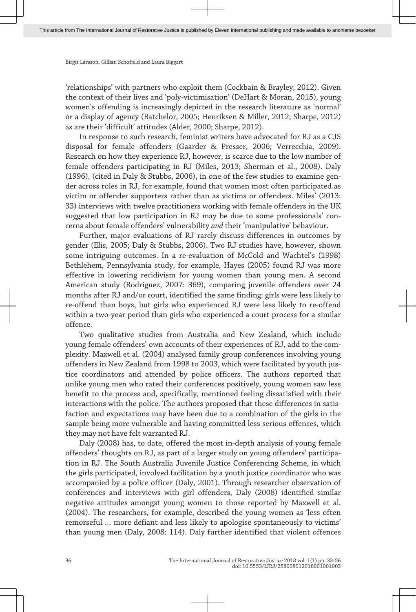'relationships' with partners who exploit them (Cockbain & Brayley, 2012). Given the context of their lives and 'poly-victimisation' (DeHart & Moran, 2015), young women's offending is increasingly depicted in the research literature as 'normal' or a display of agency (Batchelor, 2005; Henriksen & Miller, 2012; Sharpe, 2012) as are their 'difficult' attitudes (Alder, 2000; Sharpe, 2012).

In response to such research, feminist writers have advocated for RJ as a CJS disposal for female offenders (Gaarder & Presser, 2006; Verrecchia, 2009). Research on how they experience RJ, however, is scarce due to the low number of female offenders participating in RJ (Miles, 2013; Sherman et al., 2008). Daly (1996), (cited in Daly & Stubbs, 2006), in one of the few studies to examine gen‐ der across roles in RJ, for example, found that women most often participated as victim or offender supporters rather than as victims or offenders. Miles' (2013: 33) interviews with twelve practitioners working with female offenders in the UK suggested that low participation in RJ may be due to some professionals' concerns about female offenders' vulnerability *and* their 'manipulative' behaviour.

Further, major evaluations of RJ rarely discuss differences in outcomes by gender (Elis, 2005; Daly & Stubbs, 2006). Two RJ studies have, however, shown some intriguing outcomes. In a re-evaluation of McCold and Wachtel's (1998) Bethlehem, Pennsylvania study, for example, Hayes (2005) found RJ was more effective in lowering recidivism for young women than young men. A second American study (Rodriguez, 2007: 369), comparing juvenile offenders over 24 months after RJ and/or court, identified the same finding: girls were less likely to re-offend than boys, but girls who experienced RJ were less likely to re-offend within a two-year period than girls who experienced a court process for a similar offence.

Two qualitative studies from Australia and New Zealand, which include young female offenders' own accounts of their experiences of RJ, add to the complexity. Maxwell et al. (2004) analysed family group conferences involving young offenders in New Zealand from 1998 to 2003, which were facilitated by youth justice coordinators and attended by police officers. The authors reported that unlike young men who rated their conferences positively, young women saw less benefit to the process and, specifically, mentioned feeling dissatisfied with their interactions with the police. The authors proposed that these differences in satisfaction and expectations may have been due to a combination of the girls in the sample being more vulnerable and having committed less serious offences, which they may not have felt warranted RJ.

Daly (2008) has, to date, offered the most in-depth analysis of young female offenders' thoughts on RJ, as part of a larger study on young offenders' participa‐ tion in RJ. The South Australia Juvenile Justice Conferencing Scheme, in which the girls participated, involved facilitation by a youth justice coordinator who was accompanied by a police officer (Daly, 2001). Through researcher observation of conferences and interviews with girl offenders, Daly (2008) identified similar negative attitudes amongst young women to those reported by Maxwell et al. (2004). The researchers, for example, described the young women as 'less often remorseful … more defiant and less likely to apologise spontaneously to victims' than young men (Daly, 2008: 114). Daly further identified that violent offences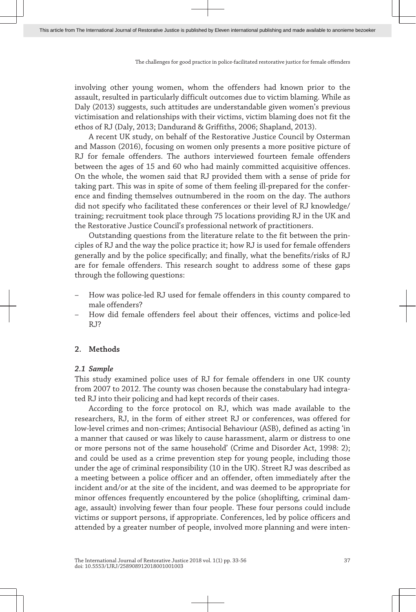involving other young women, whom the offenders had known prior to the assault, resulted in particularly difficult outcomes due to victim blaming. While as Daly (2013) suggests, such attitudes are understandable given women's previous victimisation and relationships with their victims, victim blaming does not fit the ethos of RJ (Daly, 2013; Dandurand & Griffiths, 2006; Shapland, 2013).

A recent UK study, on behalf of the Restorative Justice Council by Osterman and Masson (2016), focusing on women only presents a more positive picture of RJ for female offenders. The authors interviewed fourteen female offenders between the ages of 15 and 60 who had mainly committed acquisitive offences. On the whole, the women said that RJ provided them with a sense of pride for taking part. This was in spite of some of them feeling ill-prepared for the confer‐ ence and finding themselves outnumbered in the room on the day. The authors did not specify who facilitated these conferences or their level of RJ knowledge/ training; recruitment took place through 75 locations providing RJ in the UK and the Restorative Justice Council's professional network of practitioners.

Outstanding questions from the literature relate to the fit between the prin‐ ciples of RJ and the way the police practice it; how RJ is used for female offenders generally and by the police specifically; and finally, what the benefits/risks of RJ are for female offenders. This research sought to address some of these gaps through the following questions:

- How was police-led RJ used for female offenders in this county compared to male offenders?
- How did female offenders feel about their offences, victims and police-led RJ?

## **2. Methods**

#### *2.1 Sample*

This study examined police uses of RJ for female offenders in one UK county from 2007 to 2012. The county was chosen because the constabulary had integrated RJ into their policing and had kept records of their cases.

According to the force protocol on RJ, which was made available to the researchers, RJ, in the form of either street RJ or conferences, was offered for low-level crimes and non-crimes; Antisocial Behaviour (ASB), defined as acting 'in a manner that caused or was likely to cause harassment, alarm or distress to one or more persons not of the same household' (Crime and Disorder Act, 1998: 2); and could be used as a crime prevention step for young people, including those under the age of criminal responsibility (10 in the UK). Street RJ was described as a meeting between a police officer and an offender, often immediately after the incident and/or at the site of the incident, and was deemed to be appropriate for minor offences frequently encountered by the police (shoplifting, criminal damage, assault) involving fewer than four people. These four persons could include victims or support persons, if appropriate. Conferences, led by police officers and attended by a greater number of people, involved more planning and were inten‐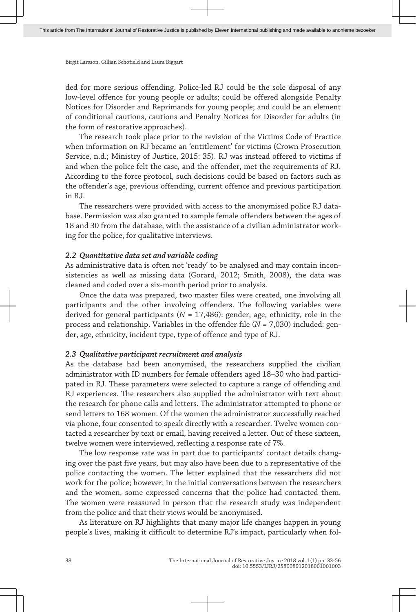ded for more serious offending. Police-led RJ could be the sole disposal of any low-level offence for young people or adults; could be offered alongside Penalty Notices for Disorder and Reprimands for young people; and could be an element of conditional cautions, cautions and Penalty Notices for Disorder for adults (in the form of restorative approaches).

The research took place prior to the revision of the Victims Code of Practice when information on RJ became an 'entitlement' for victims (Crown Prosecution Service, n.d.; Ministry of Justice, 2015: 35). RJ was instead offered to victims if and when the police felt the case, and the offender, met the requirements of RJ. According to the force protocol, such decisions could be based on factors such as the offender's age, previous offending, current offence and previous participation in RJ.

The researchers were provided with access to the anonymised police RJ database. Permission was also granted to sample female offenders between the ages of 18 and 30 from the database, with the assistance of a civilian administrator work‐ ing for the police, for qualitative interviews.

## *2.2 Quantitative data set and variable coding*

As administrative data is often not 'ready' to be analysed and may contain inconsistencies as well as missing data (Gorard, 2012; Smith, 2008), the data was cleaned and coded over a six-month period prior to analysis.

Once the data was prepared, two master files were created, one involving all participants and the other involving offenders. The following variables were derived for general participants (*N* = 17,486): gender, age, ethnicity, role in the process and relationship. Variables in the offender file (*N* = 7,030) included: gender, age, ethnicity, incident type, type of offence and type of RJ.

# *2.3 Qualitative participant recruitment and analysis*

As the database had been anonymised, the researchers supplied the civilian administrator with ID numbers for female offenders aged 18-30 who had participated in RJ. These parameters were selected to capture a range of offending and RJ experiences. The researchers also supplied the administrator with text about the research for phone calls and letters. The administrator attempted to phone or send letters to 168 women. Of the women the administrator successfully reached via phone, four consented to speak directly with a researcher. Twelve women contacted a researcher by text or email, having received a letter. Out of these sixteen, twelve women were interviewed, reflecting a response rate of 7%.

The low response rate was in part due to participants' contact details chang‐ ing over the past five years, but may also have been due to a representative of the police contacting the women. The letter explained that the researchers did not work for the police; however, in the initial conversations between the researchers and the women, some expressed concerns that the police had contacted them. The women were reassured in person that the research study was independent from the police and that their views would be anonymised.

As literature on RJ highlights that many major life changes happen in young people's lives, making it difficult to determine RJ's impact, particularly when fol‐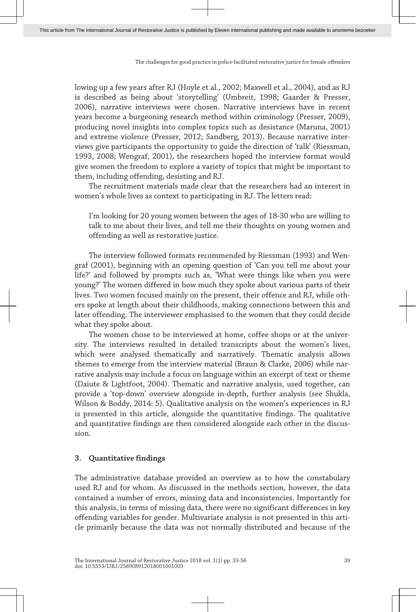lowing up a few years after RJ (Hoyle et al., 2002; Maxwell et al., 2004), and as RJ is described as being about 'storytelling' (Umbreit, 1998; Gaarder & Presser, 2006), narrative interviews were chosen. Narrative interviews have in recent years become a burgeoning research method within criminology (Presser, 2009), producing novel insights into complex topics such as desistance (Maruna, 2001) and extreme violence (Presser, 2012; Sandberg, 2013). Because narrative inter‐ views give participants the opportunity to guide the direction of 'talk' (Riessman, 1993, 2008; Wengraf, 2001), the researchers hoped the interview format would give women the freedom to explore a variety of topics that might be important to them, including offending, desisting and RJ.

The recruitment materials made clear that the researchers had an interest in women's whole lives as context to participating in RJ. The letters read:

I'm looking for 20 young women between the ages of 18-30 who are willing to talk to me about their lives, and tell me their thoughts on young women and offending as well as restorative justice.

The interview followed formats recommended by Riessman (1993) and Wen‐ graf (2001), beginning with an opening question of 'Can you tell me about your life?' and followed by prompts such as, 'What were things like when you were young?' The women differed in how much they spoke about various parts of their lives. Two women focused mainly on the present, their offence and RJ, while oth‐ ers spoke at length about their childhoods, making connections between this and later offending. The interviewer emphasised to the women that they could decide what they spoke about.

The women chose to be interviewed at home, coffee shops or at the university. The interviews resulted in detailed transcripts about the women's lives, which were analysed thematically and narratively. Thematic analysis allows themes to emerge from the interview material (Braun & Clarke, 2006) while nar‐ rative analysis may include a focus on language within an excerpt of text or theme (Daiute & Lightfoot, 2004). Thematic and narrative analysis, used together, can provide a 'top-down' overview alongside in-depth, further analysis (see Shukla, Wilson & Boddy, 2014: 5). Qualitative analysis on the women's experiences in RJ is presented in this article, alongside the quantitative findings. The qualitative and quantitative findings are then considered alongside each other in the discussion.

## **3. Quantitative findings**

The administrative database provided an overview as to how the constabulary used RJ and for whom. As discussed in the methods section, however, the data contained a number of errors, missing data and inconsistencies. Importantly for this analysis, in terms of missing data, there were no significant differences in key offending variables for gender. Multivariate analysis is not presented in this arti‐ cle primarily because the data was not normally distributed and because of the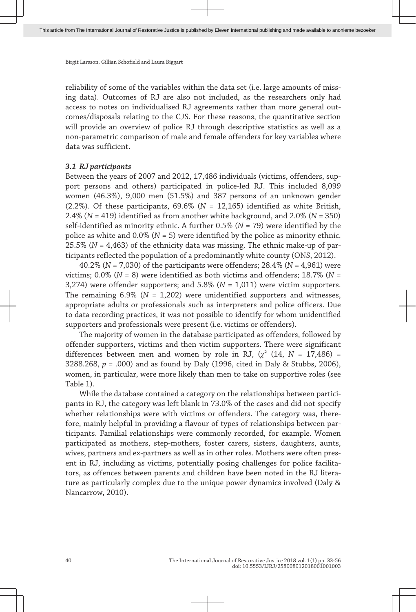reliability of some of the variables within the data set (i.e. large amounts of miss‐ ing data). Outcomes of RJ are also not included, as the researchers only had access to notes on individualised RJ agreements rather than more general out‐ comes/disposals relating to the CJS. For these reasons, the quantitative section will provide an overview of police RJ through descriptive statistics as well as a non-parametric comparison of male and female offenders for key variables where data was sufficient.

#### *3.1 RJ participants*

Between the years of 2007 and 2012, 17,486 individuals (victims, offenders, sup‐ port persons and others) participated in police-led RJ. This included 8,099 women (46.3%), 9,000 men (51.5%) and 387 persons of an unknown gender (2.2%). Of these participants, 69.6% (*N* = 12,165) identified as white British, 2.4% (*N* = 419) identified as from another white background, and 2.0% (*N* = 350) self-identified as minority ethnic. A further 0.5% (*N* = 79) were identified by the police as white and 0.0% (*N* = 5) were identified by the police as minority ethnic. 25.5% (*N* = 4,463) of the ethnicity data was missing. The ethnic make-up of par‐ ticipants reflected the population of a predominantly white county (ONS, 2012).

40.2% (*N* = 7,030) of the participants were offenders; 28.4% (*N* = 4,961) were victims; 0.0% (*N* = 8) were identified as both victims and offenders; 18.7% (*N* = 3,274) were offender supporters; and 5.8% (*N* = 1,011) were victim supporters. The remaining 6.9% (*N* = 1,202) were unidentified supporters and witnesses, appropriate adults or professionals such as interpreters and police officers. Due to data recording practices, it was not possible to identify for whom unidentified supporters and professionals were present (i.e. victims or offenders).

The majority of women in the database participated as offenders, followed by offender supporters, victims and then victim supporters. There were significant differences between men and women by role in RJ,  $(\chi^2)(14, N = 17,486)$  = 3288.268, *p =* .000) and as found by Daly (1996, cited in Daly & Stubbs, 2006), women, in particular, were more likely than men to take on supportive roles (see Table 1).

While the database contained a category on the relationships between participants in RJ, the category was left blank in 73.0% of the cases and did not specify whether relationships were with victims or offenders. The category was, therefore, mainly helpful in providing a flavour of types of relationships between participants. Familial relationships were commonly recorded, for example. Women participated as mothers, step-mothers, foster carers, sisters, daughters, aunts, wives, partners and ex-partners as well as in other roles. Mothers were often pres‐ ent in RJ, including as victims, potentially posing challenges for police facilitators, as offences between parents and children have been noted in the RJ litera‐ ture as particularly complex due to the unique power dynamics involved (Daly & Nancarrow, 2010).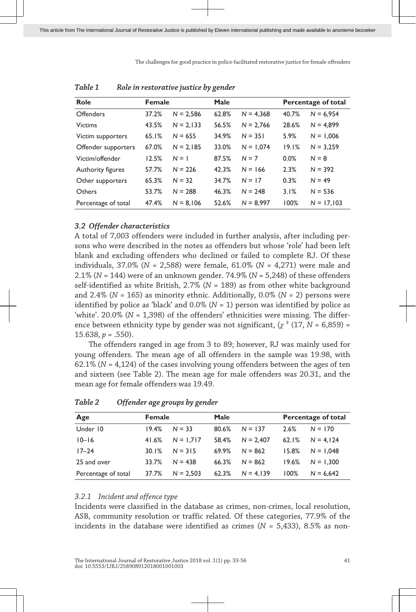| Role                | <b>Female</b> |             | Male  |             | Percentage of total |              |
|---------------------|---------------|-------------|-------|-------------|---------------------|--------------|
| <b>Offenders</b>    | 37.2%         | $N = 2.586$ | 62.8% | $N = 4.368$ | 40.7%               | $N = 6.954$  |
| <b>Victims</b>      | 43.5%         | $N = 2.133$ | 56.5% | $N = 2,766$ | 28.6%               | $N = 4.899$  |
| Victim supporters   | 65.1%         | $N = 655$   | 34.9% | $N = 351$   | 5.9%                | $N = 1.006$  |
| Offender supporters | 67.0%         | $N = 2.185$ | 33.0% | $N = 1,074$ | 19.1%               | $N = 3,259$  |
| Victim/offender     | 12.5%         | $N = 1$     | 87.5% | $N = 7$     | 0.0%                | $N = 8$      |
| Authority figures   | 57.7%         | $N = 226$   | 42.3% | $N = 166$   | 2.3%                | $N = 392$    |
| Other supporters    | 65.3%         | $N = 32$    | 34.7% | $N = 17$    | 0.3%                | $N = 49$     |
| Others              | 53.7%         | $N = 288$   | 46.3% | $N = 248$   | 3.1%                | $N = 536$    |
| Percentage of total | 47.4%         | $N = 8.106$ | 52.6% | $N = 8.997$ | 100%                | $N = 17.103$ |

*Table 1 Role in restorative justice by gender*

#### *3.2 Offender characteristics*

A total of 7,003 offenders were included in further analysis, after including per‐ sons who were described in the notes as offenders but whose 'role' had been left blank and excluding offenders who declined or failed to complete RJ. Of these individuals, 37.0% (*N* = 2,588) were female, 61.0% (*N* = 4,271) were male and 2.1% (*N* = 144) were of an unknown gender. 74.9% (*N* = 5,248) of these offenders self-identified as white British, 2.7% (*N* = 189) as from other white background and 2.4% (*N* = 165) as minority ethnic. Additionally, 0.0% (*N* = 2) persons were identified by police as 'black' and  $0.0\%$  ( $N = 1$ ) person was identified by police as 'white'. 20.0% (*N* = 1,398) of the offenders' ethnicities were missing. The difference between ethnicity type by gender was not significant,  $(\chi^2 (17, N = 6,859) =$ 15.638, *p* = .550).

The offenders ranged in age from 3 to 89; however, RJ was mainly used for young offenders. The mean age of all offenders in the sample was 19.98, with 62.1% (*N* = 4,124) of the cases involving young offenders between the ages of ten and sixteen (see Table 2). The mean age for male offenders was 20.31, and the mean age for female offenders was 19.49.

| Age                 |       | <b>Female</b> |       | Male        |       | Percentage of total |  |
|---------------------|-------|---------------|-------|-------------|-------|---------------------|--|
| Under 10            | 19.4% | $N = 33$      | 80.6% | $N = 137$   | 2.6%  | $N = 170$           |  |
| $10 - 16$           | 41.6% | $N = 1.717$   | 58.4% | $N = 2.407$ | 62.1% | $N = 4.124$         |  |
| $17 - 24$           | 30.1% | $N = 315$     | 69.9% | $N = 862$   | 15.8% | $N = 1.048$         |  |
| 25 and over         | 33.7% | $N = 438$     | 66.3% | $N = 862$   | 19.6% | $N = 1.300$         |  |
| Percentage of total | 37.7% | $N = 2.503$   | 62.3% | $N = 4.139$ | 100%  | $N = 6.642$         |  |

*Table 2 Offender age groups by gender*

# *3.2.1 Incident and offence type*

Incidents were classified in the database as crimes, non-crimes, local resolution, ASB, community resolution or traffic related. Of these categories, 77.9% of the incidents in the database were identified as crimes (*N* = 5,433), 8.5% as non-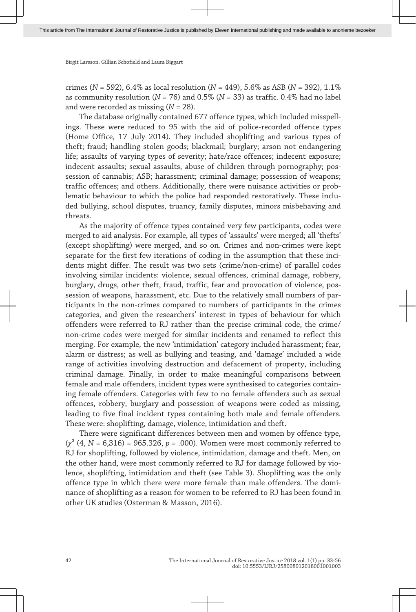crimes (*N* = 592), 6.4% as local resolution (*N* = 449), 5.6% as ASB (*N* = 392), 1.1% as community resolution (*N* = 76) and 0.5% (*N* = 33) as traffic. 0.4% had no label and were recorded as missing (*N* = 28).

The database originally contained 677 offence types, which included misspellings. These were reduced to 95 with the aid of police-recorded offence types (Home Office, 17 July 2014). They included shoplifting and various types of theft; fraud; handling stolen goods; blackmail; burglary; arson not endangering life; assaults of varying types of severity; hate/race offences; indecent exposure; indecent assaults; sexual assaults, abuse of children through pornography; possession of cannabis; ASB; harassment; criminal damage; possession of weapons; traffic offences; and others. Additionally, there were nuisance activities or prob‐ lematic behaviour to which the police had responded restoratively. These included bullying, school disputes, truancy, family disputes, minors misbehaving and threats.

As the majority of offence types contained very few participants, codes were merged to aid analysis. For example, all types of 'assaults' were merged; all 'thefts' (except shoplifting) were merged, and so on. Crimes and non-crimes were kept separate for the first few iterations of coding in the assumption that these incidents might differ. The result was two sets (crime/non-crime) of parallel codes involving similar incidents: violence, sexual offences, criminal damage, robbery, burglary, drugs, other theft, fraud, traffic, fear and provocation of violence, pos‐ session of weapons, harassment, etc. Due to the relatively small numbers of participants in the non-crimes compared to numbers of participants in the crimes categories, and given the researchers' interest in types of behaviour for which offenders were referred to RJ rather than the precise criminal code, the crime/ non-crime codes were merged for similar incidents and renamed to reflect this merging. For example, the new 'intimidation' category included harassment; fear, alarm or distress; as well as bullying and teasing, and 'damage' included a wide range of activities involving destruction and defacement of property, including criminal damage. Finally, in order to make meaningful comparisons between female and male offenders, incident types were synthesised to categories containing female offenders. Categories with few to no female offenders such as sexual offences, robbery, burglary and possession of weapons were coded as missing, leading to five final incident types containing both male and female offenders. These were: shoplifting, damage, violence, intimidation and theft.

There were significant differences between men and women by offence type, (*χ*² (4, *N* = 6,316) = 965.326, *p =* .000). Women were most commonly referred to RJ for shoplifting, followed by violence, intimidation, damage and theft. Men, on the other hand, were most commonly referred to RJ for damage followed by violence, shoplifting, intimidation and theft (see Table 3). Shoplifting was the only offence type in which there were more female than male offenders. The dominance of shoplifting as a reason for women to be referred to RJ has been found in other UK studies (Osterman & Masson, 2016).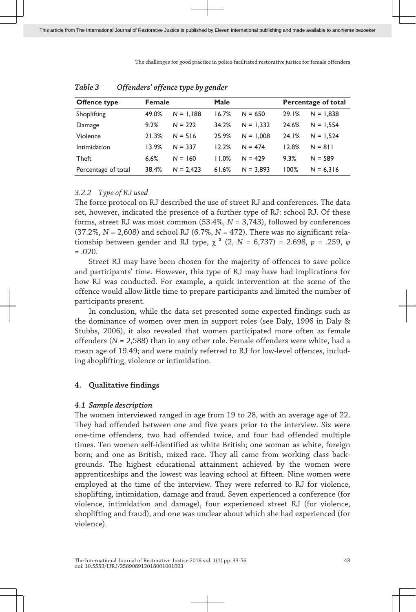| Offence type        | Female |             | Male  |             | Percentage of total |             |
|---------------------|--------|-------------|-------|-------------|---------------------|-------------|
| Shoplifting         | 49.0%  | $N = 1.188$ | 16.7% | $N = 650$   | 29.1%               | $N = 1.838$ |
| Damage              | 9.2%   | $N = 222$   | 34.2% | $N = 1.332$ | 24.6%               | $N = 1.554$ |
| Violence            | 21.3%  | $N = 516$   | 25.9% | $N = 1.008$ | 24.1%               | $N = 1.524$ |
| Intimidation        | 13.9%  | $N = 337$   | 12.2% | $N = 474$   | 12.8%               | $N = 811$   |
| <b>Theft</b>        | 6.6%   | $N = 160$   | 11.0% | $N = 429$   | 9.3%                | $N = 589$   |
| Percentage of total | 38.4%  | $N = 2.423$ | 61.6% | $N = 3.893$ | 100%                | $N = 6.316$ |

| Table 3 |  | Offenders' offence type by gender |  |  |  |  |
|---------|--|-----------------------------------|--|--|--|--|
|---------|--|-----------------------------------|--|--|--|--|

## *3.2.2 Type of RJ used*

The force protocol on RJ described the use of street RJ and conferences. The data set, however, indicated the presence of a further type of RJ: school RJ. Of these forms, street RJ was most common (53.4%, *N* = 3,743), followed by conferences  $(37.2\%, N = 2,608)$  and school RJ  $(6.7\%, N = 472)$ . There was no significant relationship between gender and RJ type,  $\chi^2$  (2,  $N = 6,737$ ) = 2.698,  $p = .259$ ,  $\varphi$  $=.020.$ 

Street RJ may have been chosen for the majority of offences to save police and participants' time. However, this type of RJ may have had implications for how RJ was conducted. For example, a quick intervention at the scene of the offence would allow little time to prepare participants and limited the number of participants present.

In conclusion, while the data set presented some expected findings such as the dominance of women over men in support roles (see Daly, 1996 in Daly & Stubbs, 2006), it also revealed that women participated more often as female offenders (*N* = 2,588) than in any other role. Female offenders were white, had a mean age of 19.49; and were mainly referred to RJ for low-level offences, includ‐ ing shoplifting, violence or intimidation.

# **4. Qualitative findings**

## *4.1 Sample description*

The women interviewed ranged in age from 19 to 28, with an average age of 22. They had offended between one and five years prior to the interview. Six were one-time offenders, two had offended twice, and four had offended multiple times. Ten women self-identified as white British; one woman as white, foreign born; and one as British, mixed race. They all came from working class backgrounds. The highest educational attainment achieved by the women were apprenticeships and the lowest was leaving school at fifteen. Nine women were employed at the time of the interview. They were referred to RJ for violence, shoplifting, intimidation, damage and fraud. Seven experienced a conference (for violence, intimidation and damage), four experienced street RJ (for violence, shoplifting and fraud), and one was unclear about which she had experienced (for violence).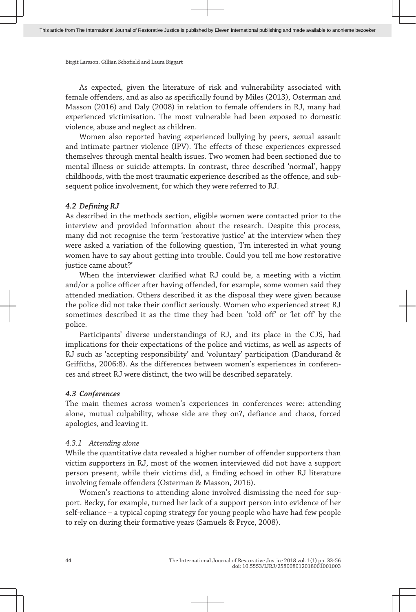As expected, given the literature of risk and vulnerability associated with female offenders, and as also as specifically found by Miles (2013), Osterman and Masson (2016) and Daly (2008) in relation to female offenders in RJ, many had experienced victimisation. The most vulnerable had been exposed to domestic violence, abuse and neglect as children.

Women also reported having experienced bullying by peers, sexual assault and intimate partner violence (IPV). The effects of these experiences expressed themselves through mental health issues. Two women had been sectioned due to mental illness or suicide attempts. In contrast, three described 'normal', happy childhoods, with the most traumatic experience described as the offence, and sub‐ sequent police involvement, for which they were referred to RJ.

#### *4.2 Defining RJ*

As described in the methods section, eligible women were contacted prior to the interview and provided information about the research. Despite this process, many did not recognise the term 'restorative justice' at the interview when they were asked a variation of the following question, 'I'm interested in what young women have to say about getting into trouble. Could you tell me how restorative justice came about?'

When the interviewer clarified what RJ could be, a meeting with a victim and/or a police officer after having offended, for example, some women said they attended mediation. Others described it as the disposal they were given because the police did not take their conflict seriously. Women who experienced street RJ sometimes described it as the time they had been 'told off' or 'let off' by the police.

Participants' diverse understandings of RJ, and its place in the CJS, had implications for their expectations of the police and victims, as well as aspects of RJ such as 'accepting responsibility' and 'voluntary' participation (Dandurand & Griffiths, 2006:8). As the differences between women's experiences in conferen‐ ces and street RJ were distinct, the two will be described separately.

#### *4.3 Conferences*

The main themes across women's experiences in conferences were: attending alone, mutual culpability, whose side are they on?, defiance and chaos, forced apologies, and leaving it.

## *4.3.1 Attending alone*

While the quantitative data revealed a higher number of offender supporters than victim supporters in RJ, most of the women interviewed did not have a support person present, while their victims did, a finding echoed in other RJ literature involving female offenders (Osterman & Masson, 2016).

Women's reactions to attending alone involved dismissing the need for support. Becky, for example, turned her lack of a support person into evidence of her self-reliance – a typical coping strategy for young people who have had few people to rely on during their formative years (Samuels & Pryce, 2008).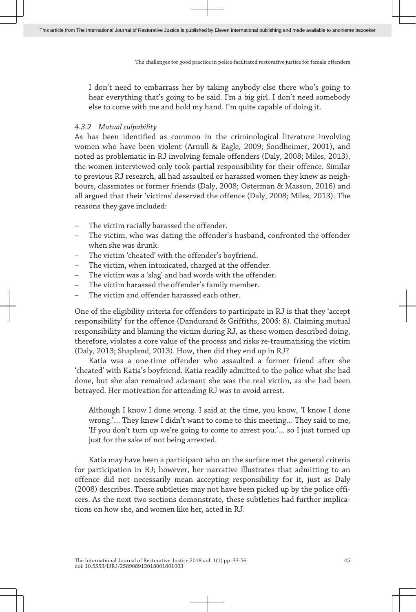I don't need to embarrass her by taking anybody else there who's going to hear everything that's going to be said. I'm a big girl. I don't need somebody else to come with me and hold my hand. I'm quite capable of doing it.

## *4.3.2 Mutual culpability*

As has been identified as common in the criminological literature involving women who have been violent (Arnull & Eagle, 2009; Sondheimer, 2001), and noted as problematic in RJ involving female offenders (Daly, 2008; Miles, 2013), the women interviewed only took partial responsibility for their offence. Similar to previous RJ research, all had assaulted or harassed women they knew as neighbours, classmates or former friends (Daly, 2008; Osterman & Masson, 2016) and all argued that their 'victims' deserved the offence (Daly, 2008; Miles, 2013). The reasons they gave included:

- The victim racially harassed the offender.
- The victim, who was dating the offender's husband, confronted the offender when she was drunk.
- The victim 'cheated' with the offender's boyfriend.
- The victim, when intoxicated, charged at the offender.
- The victim was a 'slag' and had words with the offender.
- The victim harassed the offender's family member.
- The victim and offender harassed each other.

One of the eligibility criteria for offenders to participate in RJ is that they 'accept responsibility' for the offence (Dandurand & Griffiths, 2006: 8). Claiming mutual responsibility and blaming the victim during RJ, as these women described doing, therefore, violates a core value of the process and risks re-traumatising the victim (Daly, 2013; Shapland, 2013). How, then did they end up in RJ?

Katia was a one-time offender who assaulted a former friend after she 'cheated' with Katia's boyfriend. Katia readily admitted to the police what she had done, but she also remained adamant she was the real victim, as she had been betrayed. Her motivation for attending RJ was to avoid arrest.

Although I know I done wrong. I said at the time, you know, 'I know I done wrong.'… They knew I didn't want to come to this meeting… They said to me, 'If you don't turn up we're going to come to arrest you.'… so I just turned up just for the sake of not being arrested.

Katia may have been a participant who on the surface met the general criteria for participation in RJ; however, her narrative illustrates that admitting to an offence did not necessarily mean accepting responsibility for it, just as Daly (2008) describes. These subtleties may not have been picked up by the police offi‐ cers. As the next two sections demonstrate, these subtleties had further implications on how she, and women like her, acted in RJ.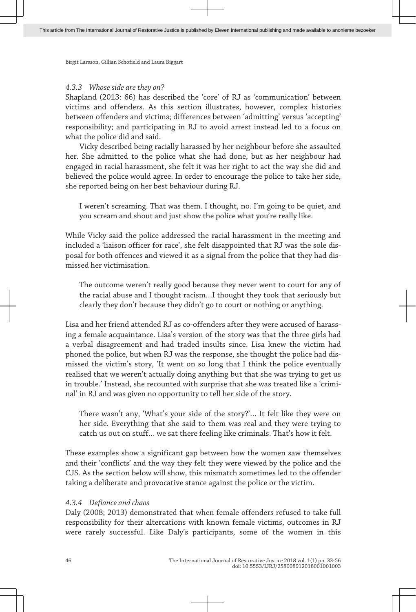#### *4.3.3 Whose side are they on?*

Shapland (2013: 66) has described the 'core' of RJ as 'communication' between victims and offenders. As this section illustrates, however, complex histories between offenders and victims; differences between 'admitting' versus 'accepting' responsibility; and participating in RJ to avoid arrest instead led to a focus on what the police did and said.

Vicky described being racially harassed by her neighbour before she assaulted her. She admitted to the police what she had done, but as her neighbour had engaged in racial harassment, she felt it was her right to act the way she did and believed the police would agree. In order to encourage the police to take her side, she reported being on her best behaviour during RJ.

I weren't screaming. That was them. I thought, no. I'm going to be quiet, and you scream and shout and just show the police what you're really like.

While Vicky said the police addressed the racial harassment in the meeting and included a 'liaison officer for race', she felt disappointed that RJ was the sole dis‐ posal for both offences and viewed it as a signal from the police that they had dis‐ missed her victimisation.

The outcome weren't really good because they never went to court for any of the racial abuse and I thought racism…I thought they took that seriously but clearly they don't because they didn't go to court or nothing or anything.

Lisa and her friend attended RJ as co-offenders after they were accused of harassing a female acquaintance. Lisa's version of the story was that the three girls had a verbal disagreement and had traded insults since. Lisa knew the victim had phoned the police, but when RJ was the response, she thought the police had dis‐ missed the victim's story, 'It went on so long that I think the police eventually realised that we weren't actually doing anything but that she was trying to get us in trouble.' Instead, she recounted with surprise that she was treated like a 'criminal' in RJ and was given no opportunity to tell her side of the story.

There wasn't any, 'What's your side of the story?'… It felt like they were on her side. Everything that she said to them was real and they were trying to catch us out on stuff… we sat there feeling like criminals. That's how it felt.

These examples show a significant gap between how the women saw themselves and their 'conflicts' and the way they felt they were viewed by the police and the CJS. As the section below will show, this mismatch sometimes led to the offender taking a deliberate and provocative stance against the police or the victim.

# *4.3.4 Defiance and chaos*

Daly (2008; 2013) demonstrated that when female offenders refused to take full responsibility for their altercations with known female victims, outcomes in RJ were rarely successful. Like Daly's participants, some of the women in this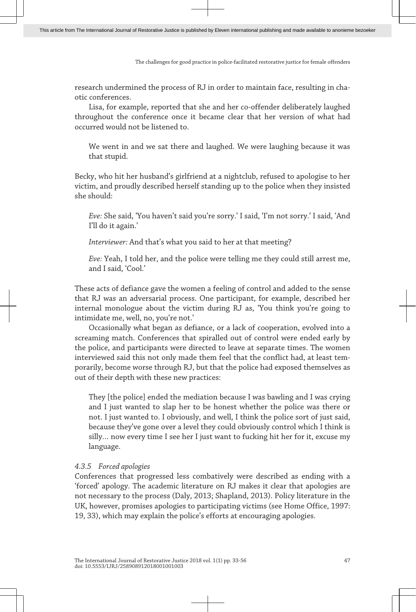research undermined the process of RJ in order to maintain face, resulting in cha‐ otic conferences.

Lisa, for example, reported that she and her co-offender deliberately laughed throughout the conference once it became clear that her version of what had occurred would not be listened to.

We went in and we sat there and laughed. We were laughing because it was that stupid.

Becky, who hit her husband's girlfriend at a nightclub, refused to apologise to her victim, and proudly described herself standing up to the police when they insisted she should:

*Eve:* She said, 'You haven't said you're sorry.' I said, 'I'm not sorry.' I said, 'And I'll do it again.'

*Interviewer:* And that's what you said to her at that meeting?

*Eve:* Yeah, I told her, and the police were telling me they could still arrest me, and I said, 'Cool.'

These acts of defiance gave the women a feeling of control and added to the sense that RJ was an adversarial process. One participant, for example, described her internal monologue about the victim during RJ as, 'You think you're going to intimidate me, well, no, you're not.'

Occasionally what began as defiance, or a lack of cooperation, evolved into a screaming match. Conferences that spiralled out of control were ended early by the police, and participants were directed to leave at separate times. The women interviewed said this not only made them feel that the conflict had, at least temporarily, become worse through RJ, but that the police had exposed themselves as out of their depth with these new practices:

They [the police] ended the mediation because I was bawling and I was crying and I just wanted to slap her to be honest whether the police was there or not. I just wanted to. I obviously, and well, I think the police sort of just said, because they've gone over a level they could obviously control which I think is silly… now every time I see her I just want to fucking hit her for it, excuse my language.

## *4.3.5 Forced apologies*

Conferences that progressed less combatively were described as ending with a 'forced' apology. The academic literature on RJ makes it clear that apologies are not necessary to the process (Daly, 2013; Shapland, 2013). Policy literature in the UK, however, promises apologies to participating victims (see Home Office, 1997: 19, 33), which may explain the police's efforts at encouraging apologies.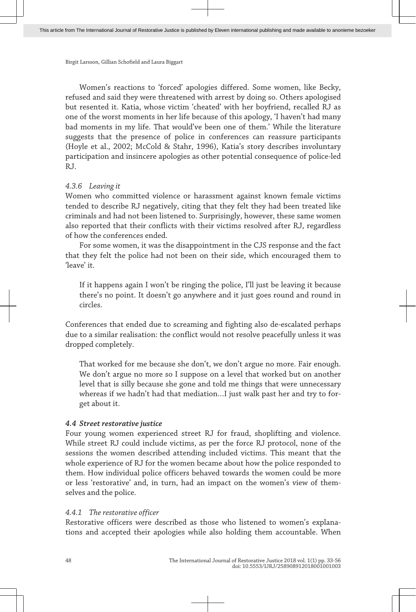Women's reactions to 'forced' apologies differed. Some women, like Becky, refused and said they were threatened with arrest by doing so. Others apologised but resented it. Katia, whose victim 'cheated' with her boyfriend, recalled RJ as one of the worst moments in her life because of this apology, 'I haven't had many bad moments in my life. That would've been one of them.' While the literature suggests that the presence of police in conferences can reassure participants (Hoyle et al., 2002; McCold & Stahr, 1996), Katia's story describes involuntary participation and insincere apologies as other potential consequence of police-led RJ.

## *4.3.6 Leaving it*

Women who committed violence or harassment against known female victims tended to describe RJ negatively, citing that they felt they had been treated like criminals and had not been listened to. Surprisingly, however, these same women also reported that their conflicts with their victims resolved after RJ, regardless of how the conferences ended.

For some women, it was the disappointment in the CJS response and the fact that they felt the police had not been on their side, which encouraged them to 'leave' it.

If it happens again I won't be ringing the police, I'll just be leaving it because there's no point. It doesn't go anywhere and it just goes round and round in circles.

Conferences that ended due to screaming and fighting also de-escalated perhaps due to a similar realisation: the conflict would not resolve peacefully unless it was dropped completely.

That worked for me because she don't, we don't argue no more. Fair enough. We don't argue no more so I suppose on a level that worked but on another level that is silly because she gone and told me things that were unnecessary whereas if we hadn't had that mediation...I just walk past her and try to forget about it.

# *4.4 Street restorative justice*

Four young women experienced street RJ for fraud, shoplifting and violence. While street RJ could include victims, as per the force RJ protocol, none of the sessions the women described attending included victims. This meant that the whole experience of RJ for the women became about how the police responded to them. How individual police officers behaved towards the women could be more or less 'restorative' and, in turn, had an impact on the women's view of themselves and the police.

# *4.4.1 The restorative officer*

Restorative officers were described as those who listened to women's explana‐ tions and accepted their apologies while also holding them accountable. When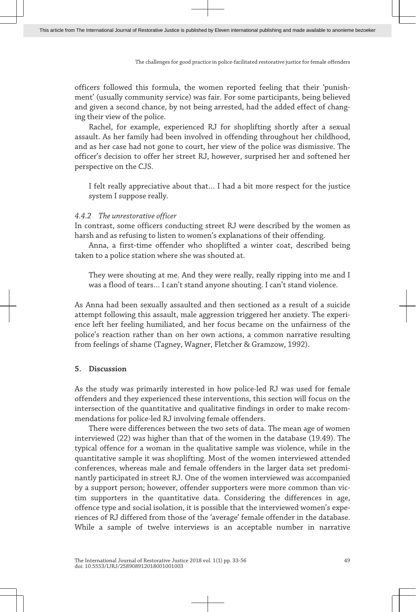officers followed this formula, the women reported feeling that their 'punish‐ ment' (usually community service) was fair. For some participants, being believed and given a second chance, by not being arrested, had the added effect of changing their view of the police.

Rachel, for example, experienced RJ for shoplifting shortly after a sexual assault. As her family had been involved in offending throughout her childhood, and as her case had not gone to court, her view of the police was dismissive. The officer's decision to offer her street RJ, however, surprised her and softened her perspective on the CJS.

I felt really appreciative about that… I had a bit more respect for the justice system I suppose really.

#### *4.4.2 The unrestorative officer*

In contrast, some officers conducting street RJ were described by the women as harsh and as refusing to listen to women's explanations of their offending.

Anna, a first-time offender who shoplifted a winter coat, described being taken to a police station where she was shouted at.

They were shouting at me. And they were really, really ripping into me and I was a flood of tears… I can't stand anyone shouting. I can't stand violence.

As Anna had been sexually assaulted and then sectioned as a result of a suicide attempt following this assault, male aggression triggered her anxiety. The experi‐ ence left her feeling humiliated, and her focus became on the unfairness of the police's reaction rather than on her own actions, a common narrative resulting from feelings of shame (Tagney, Wagner, Fletcher & Gramzow, 1992).

#### **5. Discussion**

As the study was primarily interested in how police-led RJ was used for female offenders and they experienced these interventions, this section will focus on the intersection of the quantitative and qualitative findings in order to make recommendations for police-led RJ involving female offenders.

There were differences between the two sets of data. The mean age of women interviewed (22) was higher than that of the women in the database (19.49). The typical offence for a woman in the qualitative sample was violence, while in the quantitative sample it was shoplifting. Most of the women interviewed attended conferences, whereas male and female offenders in the larger data set predomi‐ nantly participated in street RJ. One of the women interviewed was accompanied by a support person; however, offender supporters were more common than vic‐ tim supporters in the quantitative data. Considering the differences in age, offence type and social isolation, it is possible that the interviewed women's expe‐ riences of RJ differed from those of the 'average' female offender in the database. While a sample of twelve interviews is an acceptable number in narrative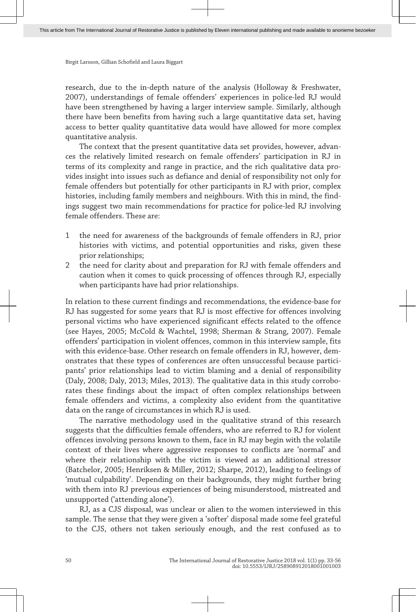research, due to the in-depth nature of the analysis (Holloway & Freshwater, 2007), understandings of female offenders' experiences in police-led RJ would have been strengthened by having a larger interview sample. Similarly, although there have been benefits from having such a large quantitative data set, having access to better quality quantitative data would have allowed for more complex quantitative analysis.

The context that the present quantitative data set provides, however, advances the relatively limited research on female offenders' participation in RJ in terms of its complexity and range in practice, and the rich qualitative data provides insight into issues such as defiance and denial of responsibility not only for female offenders but potentially for other participants in RJ with prior, complex histories, including family members and neighbours. With this in mind, the findings suggest two main recommendations for practice for police-led RJ involving female offenders. These are:

- 1 the need for awareness of the backgrounds of female offenders in RJ, prior histories with victims, and potential opportunities and risks, given these prior relationships;
- 2 the need for clarity about and preparation for RJ with female offenders and caution when it comes to quick processing of offences through RJ, especially when participants have had prior relationships.

In relation to these current findings and recommendations, the evidence-base for RJ has suggested for some years that RJ is most effective for offences involving personal victims who have experienced significant effects related to the offence (see Hayes, 2005; McCold & Wachtel, 1998; Sherman & Strang, 2007). Female offenders' participation in violent offences, common in this interview sample, fits with this evidence-base. Other research on female offenders in RJ, however, demonstrates that these types of conferences are often unsuccessful because participants' prior relationships lead to victim blaming and a denial of responsibility (Daly, 2008; Daly, 2013; Miles, 2013). The qualitative data in this study corrobo‐ rates these findings about the impact of often complex relationships between female offenders and victims, a complexity also evident from the quantitative data on the range of circumstances in which RJ is used.

The narrative methodology used in the qualitative strand of this research suggests that the difficulties female offenders, who are referred to RJ for violent offences involving persons known to them, face in RJ may begin with the volatile context of their lives where aggressive responses to conflicts are 'normal' and where their relationship with the victim is viewed as an additional stressor (Batchelor, 2005; Henriksen & Miller, 2012; Sharpe, 2012), leading to feelings of 'mutual culpability'. Depending on their backgrounds, they might further bring with them into RJ previous experiences of being misunderstood, mistreated and unsupported ('attending alone').

RJ, as a CJS disposal, was unclear or alien to the women interviewed in this sample. The sense that they were given a 'softer' disposal made some feel grateful to the CJS, others not taken seriously enough, and the rest confused as to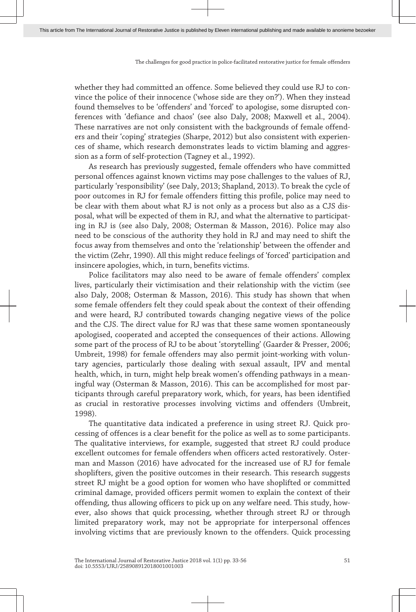whether they had committed an offence. Some believed they could use RJ to convince the police of their innocence ('whose side are they on?'). When they instead found themselves to be 'offenders' and 'forced' to apologise, some disrupted conferences with 'defiance and chaos' (see also Daly, 2008; Maxwell et al., 2004). These narratives are not only consistent with the backgrounds of female offend‐ ers and their 'coping' strategies (Sharpe, 2012) but also consistent with experien‐ ces of shame, which research demonstrates leads to victim blaming and aggres‐ sion as a form of self-protection (Tagney et al., 1992).

As research has previously suggested, female offenders who have committed personal offences against known victims may pose challenges to the values of RJ, particularly 'responsibility' (see Daly, 2013; Shapland, 2013). To break the cycle of poor outcomes in RJ for female offenders fitting this profile, police may need to be clear with them about what RJ is not only as a process but also as a CJS dis‐ posal, what will be expected of them in RJ, and what the alternative to participat‐ ing in RJ is (see also Daly, 2008; Osterman & Masson, 2016). Police may also need to be conscious of the authority they hold in RJ and may need to shift the focus away from themselves and onto the 'relationship' between the offender and the victim (Zehr, 1990). All this might reduce feelings of 'forced' participation and insincere apologies, which, in turn, benefits victims.

Police facilitators may also need to be aware of female offenders' complex lives, particularly their victimisation and their relationship with the victim (see also Daly, 2008; Osterman & Masson, 2016). This study has shown that when some female offenders felt they could speak about the context of their offending and were heard, RJ contributed towards changing negative views of the police and the CJS. The direct value for RJ was that these same women spontaneously apologised, cooperated and accepted the consequences of their actions. Allowing some part of the process of RJ to be about 'storytelling' (Gaarder & Presser, 2006; Umbreit, 1998) for female offenders may also permit joint-working with volun‐ tary agencies, particularly those dealing with sexual assault, IPV and mental health, which, in turn, might help break women's offending pathways in a meaningful way (Osterman & Masson, 2016). This can be accomplished for most par‐ ticipants through careful preparatory work, which, for years, has been identified as crucial in restorative processes involving victims and offenders (Umbreit, 1998).

The quantitative data indicated a preference in using street RJ. Quick pro‐ cessing of offences is a clear benefit for the police as well as to some participants. The qualitative interviews, for example, suggested that street RJ could produce excellent outcomes for female offenders when officers acted restoratively. Oster‐ man and Masson (2016) have advocated for the increased use of RJ for female shoplifters, given the positive outcomes in their research. This research suggests street RJ might be a good option for women who have shoplifted or committed criminal damage, provided officers permit women to explain the context of their offending, thus allowing officers to pick up on any welfare need. This study, how‐ ever, also shows that quick processing, whether through street RJ or through limited preparatory work, may not be appropriate for interpersonal offences involving victims that are previously known to the offenders. Quick processing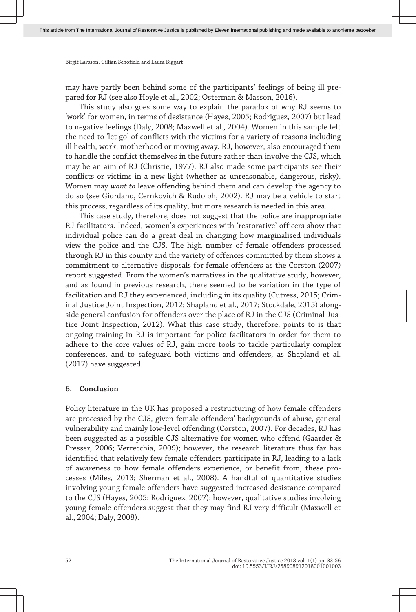may have partly been behind some of the participants' feelings of being ill pre‐ pared for RJ (see also Hoyle et al., 2002; Osterman & Masson, 2016).

This study also goes some way to explain the paradox of why RJ seems to 'work' for women, in terms of desistance (Hayes, 2005; Rodriguez, 2007) but lead to negative feelings (Daly, 2008; Maxwell et al., 2004). Women in this sample felt the need to 'let go' of conflicts with the victims for a variety of reasons including ill health, work, motherhood or moving away. RJ, however, also encouraged them to handle the conflict themselves in the future rather than involve the CJS, which may be an aim of RJ (Christie, 1977). RJ also made some participants see their conflicts or victims in a new light (whether as unreasonable, dangerous, risky). Women may *want to* leave offending behind them and can develop the agency to do so (see Giordano, Cernkovich & Rudolph, 2002). RJ may be a vehicle to start this process, regardless of its quality, but more research is needed in this area.

This case study, therefore, does not suggest that the police are inappropriate RJ facilitators. Indeed, women's experiences with 'restorative' officers show that individual police can do a great deal in changing how marginalised individuals view the police and the CJS. The high number of female offenders processed through RJ in this county and the variety of offences committed by them shows a commitment to alternative disposals for female offenders as the Corston (2007) report suggested. From the women's narratives in the qualitative study, however, and as found in previous research, there seemed to be variation in the type of facilitation and RJ they experienced, including in its quality (Cutress, 2015; Crim‐ inal Justice Joint Inspection, 2012; Shapland et al., 2017; Stockdale, 2015) alongside general confusion for offenders over the place of RJ in the CJS (Criminal Justice Joint Inspection, 2012). What this case study, therefore, points to is that ongoing training in RJ is important for police facilitators in order for them to adhere to the core values of RJ, gain more tools to tackle particularly complex conferences, and to safeguard both victims and offenders, as Shapland et al. (2017) have suggested.

#### **6. Conclusion**

Policy literature in the UK has proposed a restructuring of how female offenders are processed by the CJS, given female offenders' backgrounds of abuse, general vulnerability and mainly low-level offending (Corston, 2007). For decades, RJ has been suggested as a possible CJS alternative for women who offend (Gaarder & Presser, 2006; Verrecchia, 2009); however, the research literature thus far has identified that relatively few female offenders participate in RJ, leading to a lack of awareness to how female offenders experience, or benefit from, these pro‐ cesses (Miles, 2013; Sherman et al., 2008). A handful of quantitative studies involving young female offenders have suggested increased desistance compared to the CJS (Hayes, 2005; Rodriguez, 2007); however, qualitative studies involving young female offenders suggest that they may find RJ very difficult (Maxwell et al., 2004; Daly, 2008).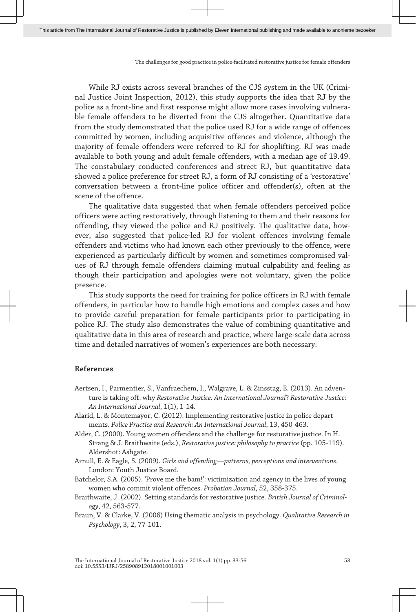While RJ exists across several branches of the CJS system in the UK (Criminal Justice Joint Inspection, 2012), this study supports the idea that RJ by the police as a front-line and first response might allow more cases involving vulnera‐ ble female offenders to be diverted from the CJS altogether. Quantitative data from the study demonstrated that the police used RJ for a wide range of offences committed by women, including acquisitive offences and violence, although the majority of female offenders were referred to RJ for shoplifting. RJ was made available to both young and adult female offenders, with a median age of 19.49. The constabulary conducted conferences and street RJ, but quantitative data showed a police preference for street RJ, a form of RJ consisting of a 'restorative' conversation between a front-line police officer and offender(s), often at the scene of the offence.

The qualitative data suggested that when female offenders perceived police officers were acting restoratively, through listening to them and their reasons for offending, they viewed the police and RJ positively. The qualitative data, how‐ ever, also suggested that police-led RJ for violent offences involving female offenders and victims who had known each other previously to the offence, were experienced as particularly difficult by women and sometimes compromised values of RJ through female offenders claiming mutual culpability and feeling as though their participation and apologies were not voluntary, given the police presence.

This study supports the need for training for police officers in RJ with female offenders, in particular how to handle high emotions and complex cases and how to provide careful preparation for female participants prior to participating in police RJ. The study also demonstrates the value of combining quantitative and qualitative data in this area of research and practice, where large-scale data across time and detailed narratives of women's experiences are both necessary.

#### **References**

- Aertsen, I., Parmentier, S., Vanfraechem, I., Walgrave, L. & Zinsstag, E. (2013). An adven‐ ture is taking off: why *Restorative Justice: An International Journal*? *Restorative Justice: An International Journal*, 1(1), 1-14.
- Alarid, L. & Montemayor, C. (2012). Implementing restorative justice in police depart‐ ments. *Police Practice and Research: An International Journal*, 13, 450-463.
- Alder, C. (2000). Young women offenders and the challenge for restorative justice. In H. Strang & J. Braithwaite (eds.), *Restorative justice: philosophy to practice* (pp. 105-119). Aldershot: Ashgate.
- Arnull, E. & Eagle, S. (2009). *Girls and offending—patterns, perceptions and interventions*. London: Youth Justice Board.

Batchelor, S.A. (2005). 'Prove me the bam!': victimization and agency in the lives of young women who commit violent offences. *Probation Journal*, 52, 358-375.

- Braithwaite, J. (2002). Setting standards for restorative justice. *British Journal of Criminol‐ ogy*, 42, 563-577.
- Braun, V. & Clarke, V. (2006) Using thematic analysis in psychology. *Qualitative Research in Psychology*, 3, 2, 77-101.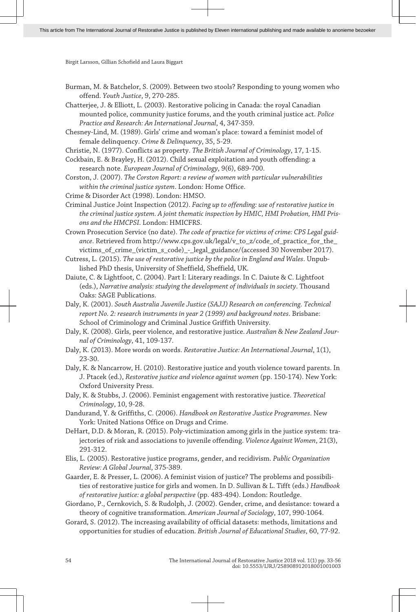Burman, M. & Batchelor, S. (2009). Between two stools? Responding to young women who offend. *Youth Justice*, 9, 270-285.

Chatterjee, J. & Elliott, L. (2003). Restorative policing in Canada: the royal Canadian mounted police, community justice forums, and the youth criminal justice act. *Police Practice and Research: An International Journal*, 4, 347-359.

Chesney-Lind, M. (1989). Girls' crime and woman's place: toward a feminist model of female delinquency. *Crime & Delinquency*, 35, 5-29.

Christie, N. (1977). Conflicts as property. *The British Journal of Criminology*, 17, 1-15.

Cockbain, E. & Brayley, H. (2012). Child sexual exploitation and youth offending: a research note. *European Journal of Criminology*, 9(6), 689-700.

Corston, J. (2007). *The Corston Report: a review of women with particular vulnerabilities within the criminal justice system*. London: Home Office.

Crime & Disorder Act (1998). London: HMSO.

Criminal Justice Joint Inspection (2012). *Facing up to offending: use of restorative justice in the criminal justice system. A joint thematic inspection by HMIC, HMI Probation, HMI Pris‐ ons and the HMCPSI*. London: HMICFRS.

Crown Prosecution Service (no date). *The code of practice for victims of crime: CPS Legal guid‐* ance. Retrieved from http://www.cps.gov.uk/legal/v\_to\_z/code\_of\_practice\_for\_the\_ victims\_of\_crime\_(victim\_s\_code)\_ -\_ legal\_ guidance/ (accessed 30 November 2017).

Cutress, L. (2015). *The use of restorative justice by the police in England and Wales*. Unpub‐ lished PhD thesis, University of Sheffield, Sheffield, UK.

Daiute, C. & Lightfoot, C. (2004). Part I: Literary readings. In C. Daiute & C. Lightfoot (eds.), *Narrative analysis: studying the development of individuals in society*. Thousand Oaks: SAGE Publications.

Daly, K. (2001). *South Australia Juvenile Justice (SAJJ) Research on conferencing. Technical report No. 2: research instruments in year 2 (1999) and background notes*. Brisbane: School of Criminology and Criminal Justice Griffith University.

Daly, K. (2008). Girls, peer violence, and restorative justice. *Australian & New Zealand Jour‐ nal of Criminology*, 41, 109-137.

Daly, K. (2013). More words on words. *Restorative Justice: An International Journal*, 1(1), 23-30.

Daly, K. & Nancarrow, H. (2010). Restorative justice and youth violence toward parents. In J. Ptacek (ed.), *Restorative justice and violence against women* (pp. 150-174). New York: Oxford University Press.

Daly, K. & Stubbs, J. (2006). Feminist engagement with restorative justice. *Theoretical Criminology*, 10, 9-28.

Dandurand, Y. & Griffiths, C. (2006). *Handbook on Restorative Justice Programmes*. New York: United Nations Office on Drugs and Crime.

DeHart, D.D. & Moran, R. (2015). Poly-victimization among girls in the justice system: tra‐ jectories of risk and associations to juvenile offending. *Violence Against Women*, 21(3), 291-312.

Elis, L. (2005). Restorative justice programs, gender, and recidivism. *Public Organization Review: A Global Journal*, 375-389.

Gaarder, E. & Presser, L. (2006). A feminist vision of justice? The problems and possibilities of restorative justice for girls and women. In D. Sullivan & L. Tifft (eds.) *Handbook of restorative justice: a global perspective* (pp. 483-494). London: Routledge.

Giordano, P., Cernkovich, S. & Rudolph, J. (2002). Gender, crime, and desistance: toward a theory of cognitive transformation. *American Journal of Sociology*, 107, 990-1064.

Gorard, S. (2012). The increasing availability of official datasets: methods, limitations and opportunities for studies of education. *British Journal of Educational Studies*, 60, 77-92.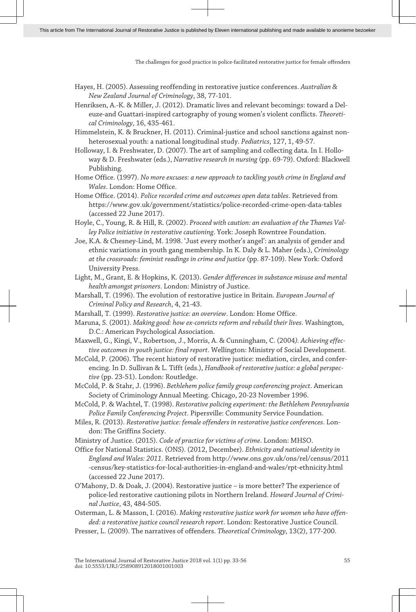- Hayes, H. (2005). Assessing reoffending in restorative justice conferences. *Australian & New Zealand Journal of Criminology*, 38, 77-101.
- Henriksen, A.-K. & Miller, J. (2012). Dramatic lives and relevant becomings: toward a Del‐ euze-and Guattari-inspired cartography of young women's violent conflicts. *Theoreti‐ cal Criminology*, 16, 435-461.
- Himmelstein, K. & Bruckner, H. (2011). Criminal-justice and school sanctions against non‐ heterosexual youth: a national longitudinal study. *Pediatrics*, 127, 1, 49-57.
- Holloway, I. & Freshwater, D. (2007). The art of sampling and collecting data. In I. Hollo‐ way & D. Freshwater (eds.), *Narrative research in nursing* (pp. 69-79). Oxford: Blackwell Publishing.
- Home Office. (1997). *No more excuses: a new approach to tackling youth crime in England and Wales*. London: Home Office.
- Home Office. (2014). *Police recorded crime and outcomes open data tables*. Retrieved from [https:// www. gov. uk/ government/ statistics/ police -recorded -crime -open -data -tables](https://www.gov.uk/government/statistics/police-recorded-crime-open-data-tables) (accessed 22 June 2017).
- Hoyle, C., Young, R. & Hill, R. (2002). *Proceed with caution: an evaluation of the Thames Val‐ ley Police initiative in restorative cautioning*. York: Joseph Rowntree Foundation.
- Joe, K.A. & Chesney-Lind, M. 1998. 'Just every mother's angel': an analysis of gender and ethnic variations in youth gang membership. In K. Daly & L. Maher (eds.), *Criminology at the crossroads: feminist readings in crime and justice* (pp. 87-109). New York: Oxford University Press.
- Light, M., Grant, E. & Hopkins, K. (2013). *Gender differences in substance misuse and mental health amongst prisoners*. London: Ministry of Justice.
- Marshall, T. (1996). The evolution of restorative justice in Britain. *European Journal of Criminal Policy and Research*, 4, 21-43.
- Marshall, T. (1999). *Restorative justice: an overview*. London: Home Office.
- Maruna, S. (2001). *Making good: how ex-convicts reform and rebuild their lives*. Washington, D.C.: American Psychological Association.
- Maxwell, G., Kingi, V., Robertson, J., Morris, A. & Cunningham, C. (2004*). Achieving effec‐ tive outcomes in youth justice: final report*. Wellington: Ministry of Social Development.
- McCold, P. (2006). The recent history of restorative justice: mediation, circles, and confer‐ encing. In D. Sullivan & L. Tifft (eds.), *Handbook of restorative justice: a global perspec‐ tive* (pp. 23-51). London: Routledge.
- McCold, P. & Stahr, J. (1996). *Bethlehem police family group conferencing project*. American Society of Criminology Annual Meeting. Chicago, 20-23 November 1996.
- McCold, P. & Wachtel, T. (1998). *Restorative policing experiment: the Bethlehem Pennsylvania Police Family Conferencing Project*. Pipersville: Community Service Foundation.
- Miles, R. (2013). *Restorative justice: female offenders in restorative justice conferences*. Lon‐ don: The Griffins Society.
- Ministry of Justice. (2015). *Code of practice for victims of crime*. London: MHSO.
- Office for National Statistics. (ONS). (2012, December). *Ethnicity and national identity in England and Wales: 2011*. Retrieved from [http:// www. ons. gov. uk/ ons/ rel/ census/ 2011](http://www.ons.gov.uk/ons/rel/census/2011-census/key-statistics-for-local-authorities-in-england-and-wales/rpt-ethnicity.html) [-census/ key -statistics -for -local -authorities -in -england -and -wales/ rpt -ethnicity. html](http://www.ons.gov.uk/ons/rel/census/2011-census/key-statistics-for-local-authorities-in-england-and-wales/rpt-ethnicity.html) (accessed 22 June 2017).
- O'Mahony, D. & Doak, J. (2004). Restorative justice is more better? The experience of police-led restorative cautioning pilots in Northern Ireland. *Howard Journal of Crimi‐ nal Justice*, 43, 484-505.
- Osterman, L. & Masson, I. (2016). *Making restorative justice work for women who have offen‐ ded: a restorative justice council research report*. London: Restorative Justice Council.
- Presser, L. (2009). The narratives of offenders. *Theoretical Criminology*, 13(2), 177-200.